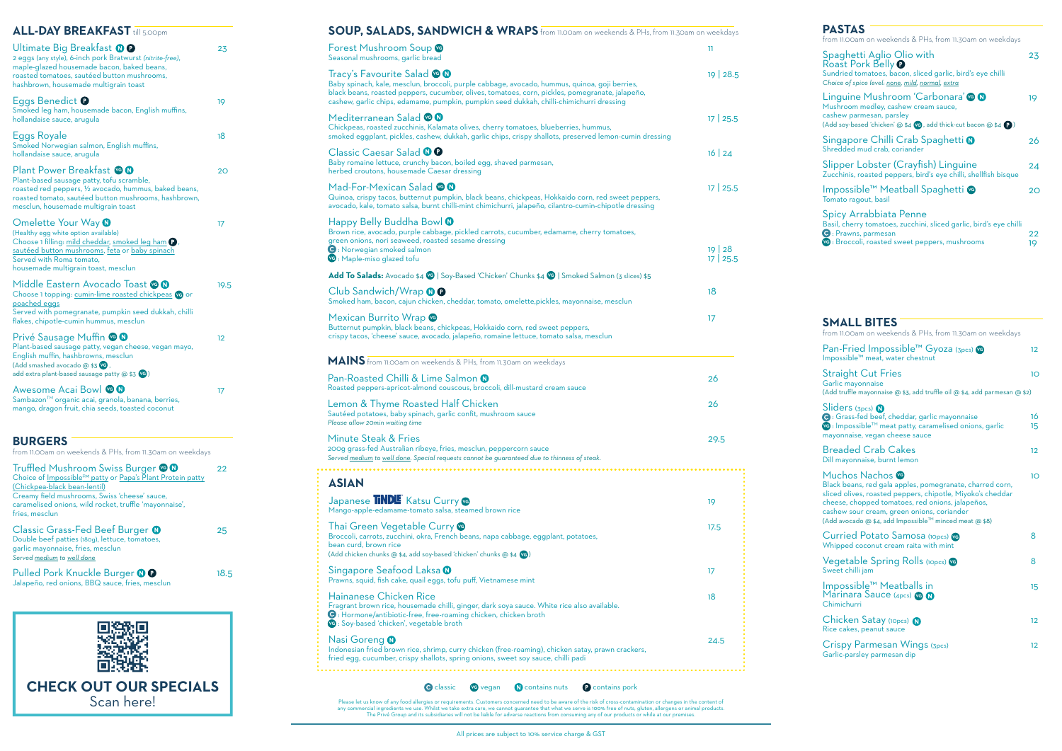| SOUP, SALADS, SANDWICH & WRAPS from 11.00am on weekends & PHs, from 11.30am on weekdays                                                                                                                                                                                                                                     |                                |
|-----------------------------------------------------------------------------------------------------------------------------------------------------------------------------------------------------------------------------------------------------------------------------------------------------------------------------|--------------------------------|
| Forest Mushroom Soup<br>Seasonal mushrooms, garlic bread                                                                                                                                                                                                                                                                    | 11                             |
| Tracy's Favourite Salad © 0<br>Baby spinach, kale, mesclun, broccoli, purple cabbage, avocado, hummus, quinoa, goji berries,<br>black beans, roasted peppers, cucumber, olives, tomatoes, corn, pickles, pomegranate, jalapeño,<br>cashew, garlic chips, edamame, pumpkin, pumpkin seed dukkah, chilli-chimichurri dressing | $19 \mid 28.5$                 |
| Mediterranean Salad CO<br>Chickpeas, roasted zucchinis, Kalamata olives, cherry tomatoes, blueberries, hummus,<br>smoked eggplant, pickles, cashew, dukkah, garlic chips, crispy shallots, preserved lemon-cumin dressing                                                                                                   | 17 25.5                        |
| Classic Caesar Salad <sup>1</sup><br>Baby romaine lettuce, crunchy bacon, boiled egg, shaved parmesan,<br>herbed croutons, housemade Caesar dressing                                                                                                                                                                        | $16 \mid 24$                   |
| Mad-For-Mexican Salad @ 0<br>Quinoa, crispy tacos, butternut pumpkin, black beans, chickpeas, Hokkaido corn, red sweet peppers,<br>avocado, kale, tomato salsa, burnt chilli-mint chimichurri, jalapeño, cilantro-cumin-chipotle dressing                                                                                   | $17 \mid 25.5$                 |
| Happy Belly Buddha Bowl <sup>0</sup><br>Brown rice, avocado, purple cabbage, pickled carrots, cucumber, edamame, cherry tomatoes,<br>green onions, nori seaweed, roasted sesame dressing                                                                                                                                    |                                |
| <b>O</b> : Norwegian smoked salmon<br>VG : Maple-miso glazed tofu                                                                                                                                                                                                                                                           | $19 \mid 28$<br>$17 \mid 25.5$ |
| Add To Salads: Avocado \$4 V9   Soy-Based 'Chicken' Chunks \$4 V9   Smoked Salmon (3 slices) \$5                                                                                                                                                                                                                            |                                |
| Club Sandwich/Wrap <b>OO</b><br>Smoked ham, bacon, cajun chicken, cheddar, tomato, omelette,pickles, mayonnaise, mesclun                                                                                                                                                                                                    | 18                             |
| Mexican Burrito Wrap<br>Butternut pumpkin, black beans, chickpeas, Hokkaido corn, red sweet peppers,<br>crispy tacos, 'cheese' sauce, avocado, jalapeño, romaine lettuce, tomato salsa, mesclun                                                                                                                             | 17                             |
| MAINS from 11.00am on weekends & PHs, from 11.30am on weekdays                                                                                                                                                                                                                                                              |                                |
| Pan-Roasted Chilli & Lime Salmon @<br>Roasted peppers-apricot-almond couscous, broccoli, dill-mustard cream sauce                                                                                                                                                                                                           | 26                             |
| Lemon & Thyme Roasted Half Chicken<br>Sautéed potatoes, baby spinach, garlic confit, mushroom sauce<br>Please allow 20min waiting time                                                                                                                                                                                      | 26                             |
| Minute Steak & Fries<br>200g grass-fed Australian ribeye, fries, mesclun, peppercorn sauce<br>Served medium to well done. Special requests cannot be guaranteed due to thinness of steak.                                                                                                                                   | 29.5                           |
| <b>ASIAN</b>                                                                                                                                                                                                                                                                                                                |                                |
| Japanese <b>TNDL</b> Katsu Curry<br>Mango-apple-edamame-tomato salsa, steamed brown rice                                                                                                                                                                                                                                    | 19                             |
| Thai Green Vegetable Curry <b>G</b><br>Broccoli, carrots, zucchini, okra, French beans, napa cabbage, eggplant, potatoes,<br>bean curd, brown rice<br>(Add chicken chunks @ \$4, add soy-based 'chicken' chunks @ \$4 VG)                                                                                                   | 17.5                           |
| Singapore Seafood Laksa <b>O</b><br>Prawns, squid, fish cake, quail eggs, tofu puff, Vietnamese mint                                                                                                                                                                                                                        | 17                             |
| <b>Hainanese Chicken Rice</b><br>Fragrant brown rice, housemade chilli, ginger, dark soya sauce. White rice also available.<br>● : Hormone/antibiotic-free, free-roaming chicken, chicken broth<br>VG : Soy-based 'chicken', vegetable broth                                                                                | 18                             |
| Nasi Goreng <b>O</b><br>Indonesian fried brown rice, shrimp, curry chicken (free-roaming), chicken satay, prawn crackers,                                                                                                                                                                                                   | 24.5                           |

**C** classic **v**G vegan **N** contains nuts **C** contains pork

Please let us know of any food allergies or requirements. Customers concerned need to be aware of the risk of cross-contamination or changes in the content of<br>any commercial ingredients we use. Whilst we take extra care, w

### **SMALL BITES**

| from 11.00am on weekends & PHs, from 11.30am on weekdays                                                                                                                                                                                                                                               |                   |
|--------------------------------------------------------------------------------------------------------------------------------------------------------------------------------------------------------------------------------------------------------------------------------------------------------|-------------------|
| Pan-Fried Impossible™ Gyoza (3pcs) <b>ve</b><br>Impossible™ meat, water chestnut                                                                                                                                                                                                                       | 12 <sup>°</sup>   |
| <b>Straight Cut Fries</b><br>Garlic mayonnaise<br>(Add truffle mayonnaise @ \$3, add truffle oil @ \$4, add parmesan @ \$2)                                                                                                                                                                            | 10                |
| $S$ liders (3pcs) $\Omega$<br>G: Grass-fed beef, cheddar, garlic mayonnaise<br>Ve: Impossible™ meat patty, caramelised onions, garlic<br>mayonnaise, vegan cheese sauce                                                                                                                                | 16<br>15          |
| <b>Breaded Crab Cakes</b><br>Dill mayonnaise, burnt lemon                                                                                                                                                                                                                                              | $12 \overline{ }$ |
| Muchos Nachos ve<br>Black beans, red gala apples, pomegranate, charred corn,<br>sliced olives, roasted peppers, chipotle, Miyoko's cheddar<br>cheese, chopped tomatoes, red onions, jalapeños,<br>cashew sour cream, green onions, coriander<br>(Add avocado @ \$4, add Impossible™ minced meat @ \$8) | 10                |
| Curried Potato Samosa (10pcs) vg<br>Whipped coconut cream raita with mint                                                                                                                                                                                                                              | 8                 |
| Vegetable Spring Rolls (10pcs) <b>vg</b><br>Sweet chilli jam                                                                                                                                                                                                                                           | 8                 |
| Impossible™ Meatballs in<br>Marinara Sauce (4pcs) <b>VG N</b><br>Chimichurri                                                                                                                                                                                                                           | 15                |
| Chicken Satay (10pcs) N<br>Rice cakes, peanut sauce                                                                                                                                                                                                                                                    | $12 \overline{ }$ |
| Crispy Parmesan Wings (3pcs)<br>Garlic-parsley parmesan dip                                                                                                                                                                                                                                            | $12 \overline{ }$ |

| <b>PASTAS</b><br>from 11.00am on weekends & PHs, from 11.30am on weekdays                                                                                                                |          |
|------------------------------------------------------------------------------------------------------------------------------------------------------------------------------------------|----------|
| Spaghetti Aglio Olio with<br>Roast Pork Belly <b>O</b><br>Sundried tomatoes, bacon, sliced garlic, bird's eye chilli<br>Choice of spice level: none, mild, normal, extra                 | 23       |
| Linguine Mushroom 'Carbonara' @ @<br>Mushroom medley, cashew cream sauce,<br>cashew parmesan, parsley<br>(Add soy-based 'chicken' @ \$4 <b>VG</b> , add thick-cut bacon @ \$4 <b>Q</b> ) | 19       |
| Singapore Chilli Crab Spaghetti @<br>Shredded mud crab, coriander                                                                                                                        | 26       |
| Slipper Lobster (Crayfish) Linguine<br>Zucchinis, roasted peppers, bird's eye chilli, shellfish bisque                                                                                   | 24       |
| Impossible <sup>™</sup> Meatball Spaghetti ©<br>Tomato ragout, basil                                                                                                                     | າດ       |
| Spicy Arrabbiata Penne<br>Basil, cherry tomatoes, zucchini, sliced garlic, bird's eye chilli<br><b>O</b> : Prawns, parmesan<br>VG: Broccoli, roasted sweet peppers, mushrooms            | 22<br>19 |

| <b>ALL-DAY BREAKFAST</b> till 5.00pm                                                                                                                                                                                                                         |      |
|--------------------------------------------------------------------------------------------------------------------------------------------------------------------------------------------------------------------------------------------------------------|------|
| Ultimate Big Breakfast $\mathbf{\Theta}$<br>2 eggs (any style), 6-inch pork Bratwurst (nitrite-free),<br>maple-glazed housemade bacon, baked beans,<br>roasted tomatoes, sautéed button mushrooms,<br>hashbrown, housemade multigrain toast                  | 23   |
| Eggs Benedict $\bullet$<br>Smoked leg ham, housemade bacon, English muffins,<br>hollandaise sauce, arugula                                                                                                                                                   | 19   |
| Eggs Royale<br>Smoked Norwegian salmon, English muffins,<br>hollandaise sauce, arugula                                                                                                                                                                       | 18   |
| Plant Power Breakfast <b>@</b><br>Plant-based sausage patty, tofu scramble,<br>roasted red peppers, 1/2 avocado, hummus, baked beans,<br>roasted tomato, sautéed button mushrooms, hashbrown,<br>mesclun, housemade multigrain toast                         | 20   |
| Omelette Your Way <b>O</b><br>(Healthy egg white option available)<br>Choose 1 filling: mild cheddar, smoked leg ham P,<br>sautéed button mushrooms, feta or baby spinach<br>Served with Roma tomato,<br>housemade multigrain toast, mesclun                 | 17   |
| Middle Eastern Avocado Toast @ @<br>Choose 1 topping: cumin-lime roasted chickpeas ve or<br>poached eggs<br>Served with pomegranate, pumpkin seed dukkah, chilli<br>flakes, chipotle-cumin hummus, mesclun                                                   | 19.5 |
| Privé Sausage Muffin CO<br>Plant-based sausage patty, vegan cheese, vegan mayo,<br>English muffin, hashbrowns, mesclun<br>(Add smashed avocado @ \$3 VG,<br>add extra plant-based sausage patty @ \$3 VG)                                                    | 12   |
| Awesome Acai Bowl CO<br>Sambazon™ organic acai, granola, banana, berries,<br>mango, dragon fruit, chia seeds, toasted coconut                                                                                                                                | 17   |
| <b>BURGERS</b><br>from 11.00am on weekends & PHs, from 11.30am on weekdays                                                                                                                                                                                   |      |
| Truffled Mushroom Swiss Burger @ 0<br>Choice of Impossible™ patty or Papa's Plant Protein patty<br>(Chickpea-black bean-lentil)<br>Creamy field mushrooms, Swiss 'cheese' sauce,<br>caramelised onions, wild rocket, truffle 'mayonnaise',<br>fries, mesclun | 22   |
| Classic Grass-Fed Beef Burger <sup>0</sup><br>Double beef patties (180g), lettuce, tomatoes,<br>garlic mayonnaise, fries, mesclun<br>Served medium to well done                                                                                              | 25   |
| Pulled Pork Knuckle Burger <sup>O</sup>                                                                                                                                                                                                                      | 18.5 |

Jalapeño, red onions, BBQ sauce, fries, mesclun